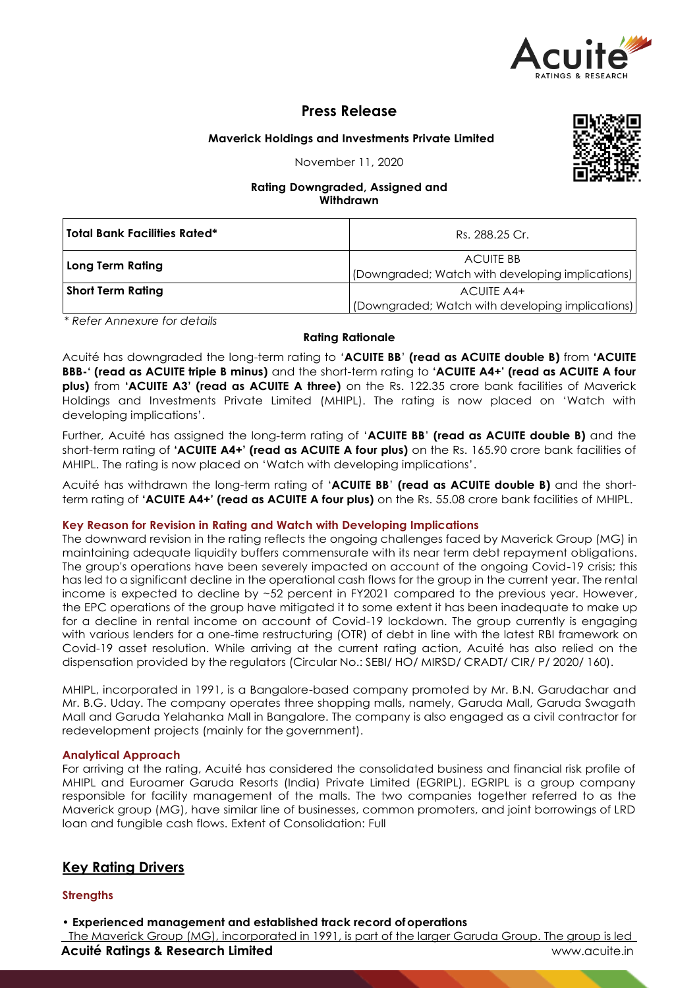

# **Press Release**

## **Maverick Holdings and Investments Private Limited**

November 11, 2020



## **Rating Downgraded, Assigned and Withdrawn**

| <b>Total Bank Facilities Rated*</b> | Rs. 288.25 Cr.                                   |  |  |
|-------------------------------------|--------------------------------------------------|--|--|
| <b>Long Term Rating</b>             | <b>ACUITE BB</b>                                 |  |  |
|                                     | (Downgraded; Watch with developing implications) |  |  |
| <b>Short Term Rating</b>            | ACUITE A4+                                       |  |  |
|                                     | (Downgraded; Watch with developing implications) |  |  |

*\* Refer Annexure for details*

## **Rating Rationale**

Acuité has downgraded the long-term rating to '**ACUITE BB**' **(read as ACUITE double B)** from **'ACUITE BBB-' (read as ACUITE triple B minus)** and the short-term rating to **'ACUITE A4+' (read as ACUITE A four plus)** from **'ACUITE A3' (read as ACUITE A three)** on the Rs. 122.35 crore bank facilities of Maverick Holdings and Investments Private Limited (MHIPL). The rating is now placed on 'Watch with developing implications'.

Further, Acuité has assigned the long-term rating of '**ACUITE BB**' **(read as ACUITE double B)** and the short-term rating of **'ACUITE A4+' (read as ACUITE A four plus)** on the Rs. 165.90 crore bank facilities of MHIPL. The rating is now placed on 'Watch with developing implications'.

Acuité has withdrawn the long-term rating of '**ACUITE BB**' **(read as ACUITE double B)** and the shortterm rating of **'ACUITE A4+' (read as ACUITE A four plus)** on the Rs. 55.08 crore bank facilities of MHIPL.

## **Key Reason for Revision in Rating and Watch with Developing Implications**

The downward revision in the rating reflects the ongoing challenges faced by Maverick Group (MG) in maintaining adequate liquidity buffers commensurate with its near term debt repayment obligations. The group's operations have been severely impacted on account of the ongoing Covid-19 crisis; this has led to a significant decline in the operational cash flows for the group in the current year. The rental income is expected to decline by ~52 percent in FY2021 compared to the previous year. However, the EPC operations of the group have mitigated it to some extent it has been inadequate to make up for a decline in rental income on account of Covid-19 lockdown. The group currently is engaging with various lenders for a one-time restructuring (OTR) of debt in line with the latest RBI framework on Covid-19 asset resolution. While arriving at the current rating action, Acuité has also relied on the dispensation provided by the regulators (Circular No.: SEBI/ HO/ MIRSD/ CRADT/ CIR/ P/ 2020/ 160).

MHIPL, incorporated in 1991, is a Bangalore-based company promoted by Mr. B.N. Garudachar and Mr. B.G. Uday. The company operates three shopping malls, namely, Garuda Mall, Garuda Swagath Mall and Garuda Yelahanka Mall in Bangalore. The company is also engaged as a civil contractor for redevelopment projects (mainly for the government).

## **Analytical Approach**

For arriving at the rating, Acuité has considered the consolidated business and financial risk profile of MHIPL and Euroamer Garuda Resorts (India) Private Limited (EGRIPL). EGRIPL is a group company responsible for facility management of the malls. The two companies together referred to as the Maverick group (MG), have similar line of businesses, common promoters, and joint borrowings of LRD loan and fungible cash flows. Extent of Consolidation: Full

## **Key Rating Drivers**

## **Strengths**

• **Experienced management and established track record ofoperations**

**Acuité Ratings & Research Limited Community Community Community Community Community Community Community Community Community Community Community Community Community Community Community Community Community Community Communi** The Maverick Group (MG), incorporated in 1991, is part of the larger Garuda Group. The group is led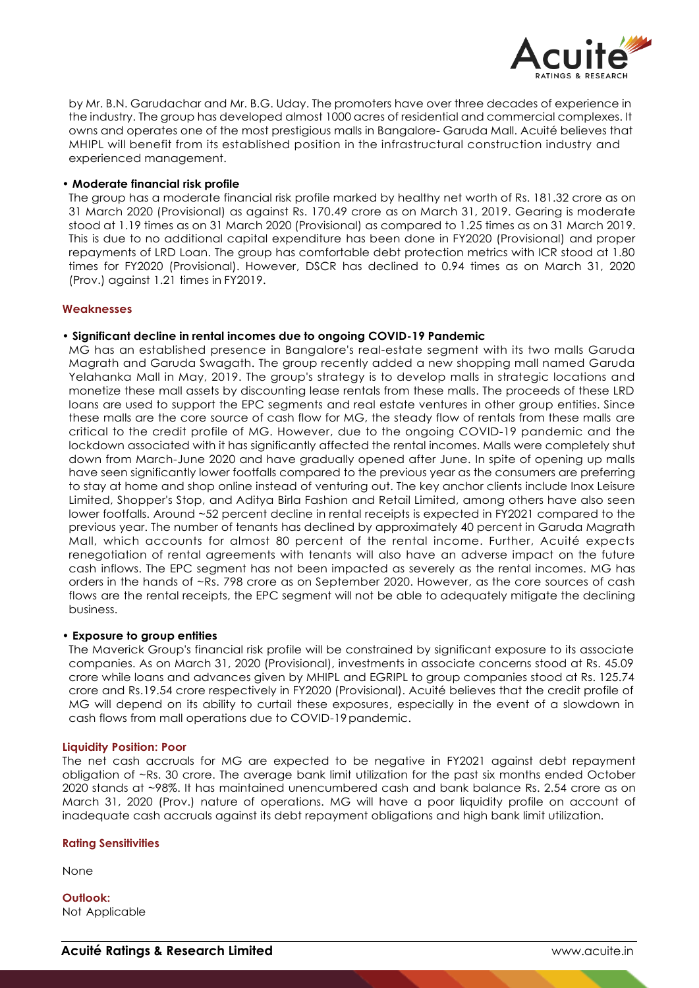

by Mr. B.N. Garudachar and Mr. B.G. Uday. The promoters have over three decades of experience in the industry. The group has developed almost 1000 acres of residential and commercial complexes. It owns and operates one of the most prestigious malls in Bangalore- Garuda Mall. Acuité believes that MHIPL will benefit from its established position in the infrastructural construction industry and experienced management.

#### • **Moderate financial risk profile**

The group has a moderate financial risk profile marked by healthy net worth of Rs. 181.32 crore as on 31 March 2020 (Provisional) as against Rs. 170.49 crore as on March 31, 2019. Gearing is moderate stood at 1.19 times as on 31 March 2020 (Provisional) as compared to 1.25 times as on 31 March 2019. This is due to no additional capital expenditure has been done in FY2020 (Provisional) and proper repayments of LRD Loan. The group has comfortable debt protection metrics with ICR stood at 1.80 times for FY2020 (Provisional). However, DSCR has declined to 0.94 times as on March 31, 2020 (Prov.) against 1.21 times in FY2019.

#### **Weaknesses**

#### • **Significant decline in rental incomes due to ongoing COVID-19 Pandemic**

MG has an established presence in Bangalore's real-estate segment with its two malls Garuda Magrath and Garuda Swagath. The group recently added a new shopping mall named Garuda Yelahanka Mall in May, 2019. The group's strategy is to develop malls in strategic locations and monetize these mall assets by discounting lease rentals from these malls. The proceeds of these LRD loans are used to support the EPC segments and real estate ventures in other group entities. Since these malls are the core source of cash flow for MG, the steady flow of rentals from these malls are critical to the credit profile of MG. However, due to the ongoing COVID-19 pandemic and the lockdown associated with it has significantly affected the rental incomes. Malls were completely shut down from March-June 2020 and have gradually opened after June. In spite of opening up malls have seen significantly lower footfalls compared to the previous year as the consumers are preferring to stay at home and shop online instead of venturing out. The key anchor clients include Inox Leisure Limited, Shopper's Stop, and Aditya Birla Fashion and Retail Limited, among others have also seen lower footfalls. Around ~52 percent decline in rental receipts is expected in FY2021 compared to the previous year. The number of tenants has declined by approximately 40 percent in Garuda Magrath Mall, which accounts for almost 80 percent of the rental income. Further, Acuité expects renegotiation of rental agreements with tenants will also have an adverse impact on the future cash inflows. The EPC segment has not been impacted as severely as the rental incomes. MG has orders in the hands of ~Rs. 798 crore as on September 2020. However, as the core sources of cash flows are the rental receipts, the EPC segment will not be able to adequately mitigate the declining business.

#### • **Exposure to group entities**

The Maverick Group's financial risk profile will be constrained by significant exposure to its associate companies. As on March 31, 2020 (Provisional), investments in associate concerns stood at Rs. 45.09 crore while loans and advances given by MHIPL and EGRIPL to group companies stood at Rs. 125.74 crore and Rs.19.54 crore respectively in FY2020 (Provisional). Acuité believes that the credit profile of MG will depend on its ability to curtail these exposures, especially in the event of a slowdown in cash flows from mall operations due to COVID-19pandemic.

#### **Liquidity Position: Poor**

The net cash accruals for MG are expected to be negative in FY2021 against debt repayment obligation of ~Rs. 30 crore. The average bank limit utilization for the past six months ended October 2020 stands at ~98%. It has maintained unencumbered cash and bank balance Rs. 2.54 crore as on March 31, 2020 (Prov.) nature of operations. MG will have a poor liquidity profile on account of inadequate cash accruals against its debt repayment obligations and high bank limit utilization.

#### **Rating Sensitivities**

None

**Outlook:** Not Applicable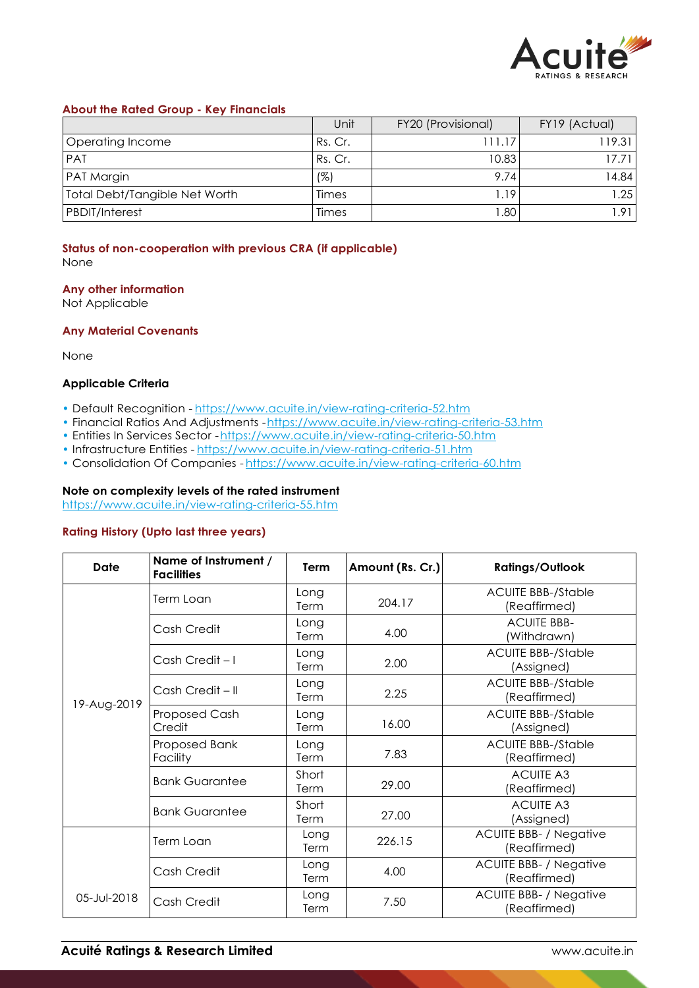

### **About the Rated Group - Key Financials**

|                               | Unit    | FY20 (Provisional) | FY19 (Actual) |
|-------------------------------|---------|--------------------|---------------|
| Operating Income              | Rs. Cr. | 111.17             | 119.31        |
| <b>PAT</b>                    | Rs. Cr. | 10.83              | 17 71 I       |
| PAT Margin                    | (%)     | 9.74               | 4.84          |
| Total Debt/Tangible Net Worth | Times   | .19                | 1.25          |
| PBDIT/Interest                | Times   | .80                | 1.91          |

## **Status of non-cooperation with previous CRA (if applicable)**

None

#### **Any other information**

Not Applicable

## **Any Material Covenants**

None

### **Applicable Criteria**

- Default Recognition https://www.acuite.in/view-rating-criteria-52.htm
- Financial Ratios And Adjustments -https://www.acuite.in/view-rating-criteria-53.htm
- Entities In Services Sector https://www.acuite.in/view-rating-criteria-50.htm
- Infrastructure Entities https://www.acuite.in/view-rating-criteria-51.htm
- Consolidation Of Companies https://www.acuite.in/view-rating-criteria-60.htm

## **Note on complexity levels of the rated instrument**

https://www.acuite.in/view-rating-criteria-55.htm

## **Rating History (Upto last three years)**

| Date        | Name of Instrument /<br><b>Facilities</b> | Term          | Amount (Rs. Cr.) | <b>Ratings/Outlook</b>                        |
|-------------|-------------------------------------------|---------------|------------------|-----------------------------------------------|
|             | Term Loan                                 | Long<br>Term  | 204.17           | <b>ACUITE BBB-/Stable</b><br>(Reaffirmed)     |
|             | Cash Credit                               | Long<br>Term  | 4.00             | <b>ACUITE BBB-</b><br>(Withdrawn)             |
|             | Cash Credit-I                             | Long<br>Term  | 2.00             | <b>ACUITE BBB-/Stable</b><br>(Assigned)       |
| 19-Aug-2019 | Cash Credit - II                          | Long<br>Term  | 2.25             | <b>ACUITE BBB-/Stable</b><br>(Reaffirmed)     |
|             | Proposed Cash<br>Credit                   | Long<br>Term  | 16.00            | <b>ACUITE BBB-/Stable</b><br>(Assigned)       |
|             | Proposed Bank<br>Facility                 | Long<br>Term  | 7.83             | <b>ACUITE BBB-/Stable</b><br>(Reaffirmed)     |
|             | <b>Bank Guarantee</b>                     | Short<br>Term | 29.00            | <b>ACUITE A3</b><br>(Reaffirmed)              |
|             | <b>Bank Guarantee</b>                     | Short<br>Term | 27.00            | <b>ACUITE A3</b><br>(Assigned)                |
|             | Term Loan                                 | Long<br>Term  | 226.15           | <b>ACUITE BBB- / Negative</b><br>(Reaffirmed) |
| 05-Jul-2018 | Cash Credit                               | Long<br>Term  | 4.00             | <b>ACUITE BBB- / Negative</b><br>(Reaffirmed) |
|             | Cash Credit                               | Long<br>Term  | 7.50             | <b>ACUITE BBB- / Negative</b><br>(Reaffirmed) |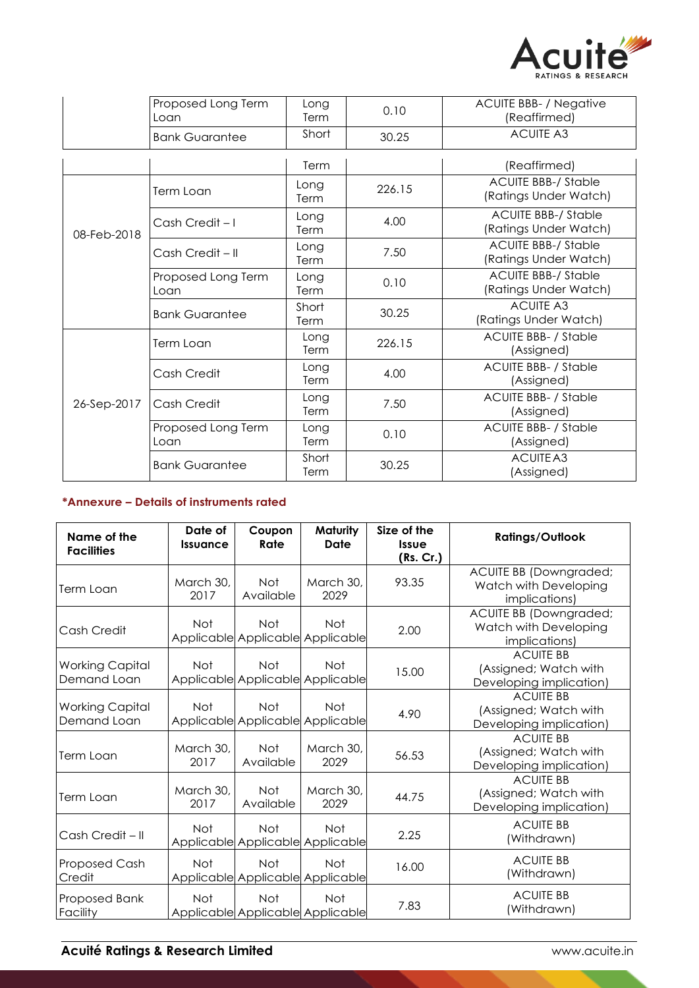

|             | Proposed Long Term<br>Loan | Long<br>Term  | 0.10   | <b>ACUITE BBB- / Negative</b><br>(Reaffirmed)       |
|-------------|----------------------------|---------------|--------|-----------------------------------------------------|
|             | <b>Bank Guarantee</b>      | Short         | 30.25  | <b>ACUITE A3</b>                                    |
|             |                            | Term          |        | (Reaffirmed)                                        |
|             | Term Loan                  | Long<br>Term  | 226.15 | <b>ACUITE BBB-/ Stable</b><br>(Ratings Under Watch) |
| 08-Feb-2018 | Cash Credit-I              | Long<br>Term  | 4.00   | <b>ACUITE BBB-/ Stable</b><br>(Ratings Under Watch) |
|             | Cash Credit – II           | Long<br>Term  | 7.50   | <b>ACUITE BBB-/ Stable</b><br>(Ratings Under Watch) |
|             | Proposed Long Term<br>Loan | Long<br>Term  | 0.10   | <b>ACUITE BBB-/ Stable</b><br>(Ratings Under Watch) |
|             | <b>Bank Guarantee</b>      | Short<br>Term | 30.25  | <b>ACUITE A3</b><br>(Ratings Under Watch)           |
|             | Term Loan                  | Long<br>Term  | 226.15 | <b>ACUITE BBB- / Stable</b><br>(Assigned)           |
| 26-Sep-2017 | Cash Credit                | Long<br>Term  | 4.00   | <b>ACUITE BBB- / Stable</b><br>(Assigned)           |
|             | Cash Credit                | Long<br>Term  | 7.50   | <b>ACUITE BBB- / Stable</b><br>(Assigned)           |
|             | Proposed Long Term<br>Loan | Long<br>Term  | 0.10   | <b>ACUITE BBB- / Stable</b><br>(Assigned)           |
|             | <b>Bank Guarantee</b>      | Short<br>Term | 30.25  | ACUITE A3<br>(Assigned)                             |

## **\*Annexure – Details of instruments rated**

| Name of the<br><b>Facilities</b> | Date of<br><b>Issuance</b> | Coupon<br>Rate   | Maturity<br>Date                               | Size of the<br><b>Issue</b><br>(Rs. Cr.) | <b>Ratings/Outlook</b>                                               |
|----------------------------------|----------------------------|------------------|------------------------------------------------|------------------------------------------|----------------------------------------------------------------------|
| Term Loan                        | March 30,<br>2017          | Not<br>Available | March 30,<br>2029                              | 93.35                                    | ACUITE BB (Downgraded;<br>Watch with Developing<br>implications)     |
| Cash Credit                      | <b>Not</b>                 | <b>Not</b>       | <b>Not</b><br>Applicable Applicable Applicable | 2.00                                     | ACUITE BB (Downgraded;<br>Watch with Developing<br>implications)     |
| Working Capital<br>Demand Loan   | <b>Not</b>                 | <b>Not</b>       | <b>Not</b><br>Applicable Applicable Applicable | 15.00                                    | <b>ACUITE BB</b><br>(Assigned; Watch with<br>Developing implication) |
| Working Capital<br>Demand Loan   | <b>Not</b>                 | Not              | <b>Not</b><br>Applicable Applicable Applicable | 4.90                                     | <b>ACUITE BB</b><br>(Assigned; Watch with<br>Developing implication) |
| Term Loan                        | March 30,<br>2017          | Not<br>Available | March 30,<br>2029                              | 56.53                                    | <b>ACUITE BB</b><br>(Assigned; Watch with<br>Developing implication) |
| Term Loan                        | March 30,<br>2017          | Not<br>Available | March 30,<br>2029                              | 44.75                                    | <b>ACUITE BB</b><br>(Assigned; Watch with<br>Developing implication) |
| Cash Credit – II                 | <b>Not</b>                 | <b>Not</b>       | <b>Not</b><br>Applicable Applicable Applicable | 2.25                                     | <b>ACUITE BB</b><br>(Withdrawn)                                      |
| <b>Proposed Cash</b><br>Credit   | <b>Not</b>                 | <b>Not</b>       | <b>Not</b><br>Applicable Applicable Applicable | 16.00                                    | <b>ACUITE BB</b><br>(Withdrawn)                                      |
| Proposed Bank<br>Facility        | <b>Not</b>                 | <b>Not</b>       | <b>Not</b><br>Applicable Applicable Applicable | 7.83                                     | <b>ACUITE BB</b><br>(Withdrawn)                                      |